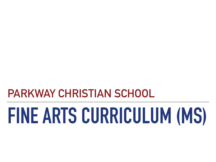# **PARKWAY CHRISTIAN SCHOOL**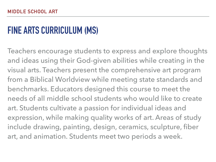Teachers encourage students to express and explore thoughts and ideas using their God-given abilities while creating in the visual arts. Teachers present the comprehensive art program from a Biblical Worldview while meeting state standards and benchmarks. Educators designed this course to meet the needs of all middle school students who would like to create art. Students cultivate a passion for individual ideas and expression, while making quality works of art. Areas of study include drawing, painting, design, ceramics, sculpture, fiber art, and animation. Students meet two periods a week.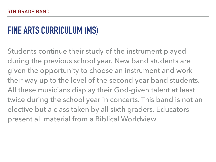Students continue their study of the instrument played during the previous school year. New band students are given the opportunity to choose an instrument and work their way up to the level of the second year band students. All these musicians display their God-given talent at least twice during the school year in concerts. This band is not an elective but a class taken by all sixth graders. Educators present all material from a Biblical Worldview.